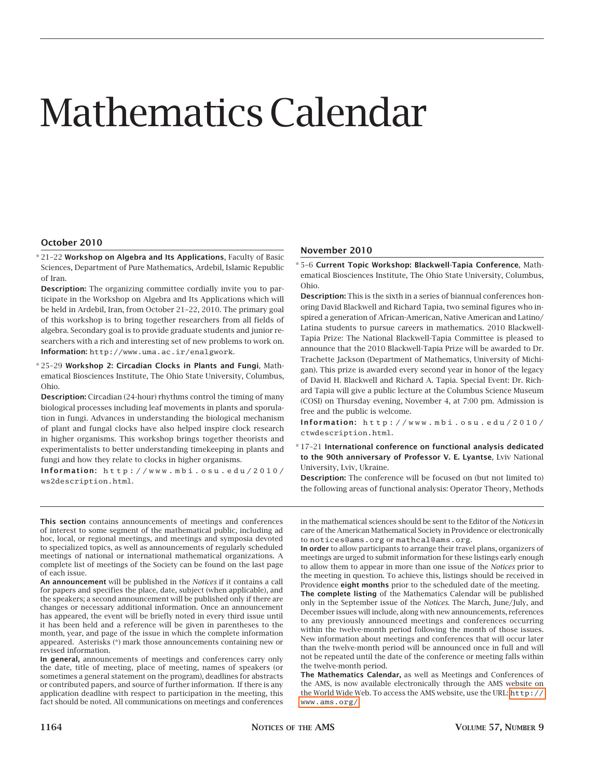# Mathematics Calendar

# **October 2010**

\* 21–22 **Workshop on Algebra and Its Applications**, Faculty of Basic Sciences, Department of Pure Mathematics, Ardebil, Islamic Republic of Iran.

**Description:** The organizing committee cordially invite you to participate in the Workshop on Algebra and Its Applications which will be held in Ardebil, Iran, from October 21–22, 2010. The primary goal of this workshop is to bring together researchers from all fields of algebra. Secondary goal is to provide graduate students and junior researchers with a rich and interesting set of new problems to work on. **Information:** http://www.uma.ac.ir/enalgwork.

\* 25–29 **Workshop 2: Circadian Clocks in Plants and Fungi**, Mathematical Biosciences Institute, The Ohio State University, Columbus, Ohio.

**Description:** Circadian (24-hour) rhythms control the timing of many biological processes including leaf movements in plants and sporulation in fungi. Advances in understanding the biological mechanism of plant and fungal clocks have also helped inspire clock research in higher organisms. This workshop brings together theorists and experimentalists to better understanding timekeeping in plants and fungi and how they relate to clocks in higher organisms.

**Information:** http://www.mbi.osu.edu/2010/ ws2description.html.

### **November 2010**

\* 5–6 **Current Topic Workshop: Blackwell-Tapia Conference**, Mathematical Biosciences Institute, The Ohio State University, Columbus, Ohio.

**Description:** This is the sixth in a series of biannual conferences honoring David Blackwell and Richard Tapia, two seminal figures who inspired a generation of African-American, Native American and Latino/ Latina students to pursue careers in mathematics. 2010 Blackwell-Tapia Prize: The National Blackwell-Tapia Committee is pleased to announce that the 2010 Blackwell-Tapia Prize will be awarded to Dr. Trachette Jackson (Department of Mathematics, University of Michigan). This prize is awarded every second year in honor of the legacy of David H. Blackwell and Richard A. Tapia. Special Event: Dr. Richard Tapia will give a public lecture at the Columbus Science Museum (COSI) on Thursday evening, November 4, at 7:00 pm. Admission is free and the public is welcome.

**Information:** http://www.mbi.osu.edu/2010/ ctwdescription.html.

\* 17–21 **International conference on functional analysis dedicated to the 90th anniversary of Professor V. E. Lyantse**, Lviv National University, Lviv, Ukraine.

**Description:** The conference will be focused on (but not limited to) the following areas of functional analysis: Operator Theory, Methods

**This section** contains announcements of meetings and conferences of interest to some segment of the mathematical public, including ad hoc, local, or regional meetings, and meetings and symposia devoted to specialized topics, as well as announcements of regularly scheduled meetings of national or international mathematical organizations. A complete list of meetings of the Society can be found on the last page of each issue.

**An announcement** will be published in the *Notices* if it contains a call for papers and specifies the place, date, subject (when applicable), and the speakers; a second announcement will be published only if there are changes or necessary additional information. Once an announcement has appeared, the event will be briefly noted in every third issue until it has been held and a reference will be given in parentheses to the month, year, and page of the issue in which the complete information appeared. Asterisks (\*) mark those announcements containing new or revised information.

**In general,** announcements of meetings and conferences carry only the date, title of meeting, place of meeting, names of speakers (or sometimes a general statement on the program), deadlines for abstracts or contributed papers, and source of further information. If there is any application deadline with respect to participation in the meeting, this fact should be noted. All communications on meetings and conferences in the mathematical sciences should be sent to the Editor of the *Notices* in care of the American Mathematical Society in Providence or electronically to notices@ams.org or mathcal@ams.org.

**In order** to allow participants to arrange their travel plans, organizers of meetings are urged to submit information for these listings early enough to allow them to appear in more than one issue of the *Notices* prior to the meeting in question. To achieve this, listings should be received in Providence **eight months** prior to the scheduled date of the meeting.

**The complete listing** of the Mathematics Calendar will be published only in the September issue of the *Notices*. The March, June/July, and December issues will include, along with new announcements, references to any previously announced meetings and conferences occurring within the twelve-month period following the month of those issues. New information about meetings and conferences that will occur later than the twelve-month period will be announced once in full and will not be repeated until the date of the conference or meeting falls within the twelve-month period.

**The Mathematics Calendar,** as well as Meetings and Conferences of the AMS, is now available electronically through the AMS website on the World Wide Web. To access the AMS website, use the URL: [http://](http://www.ams.org/) [www.ams.org/](http://www.ams.org/).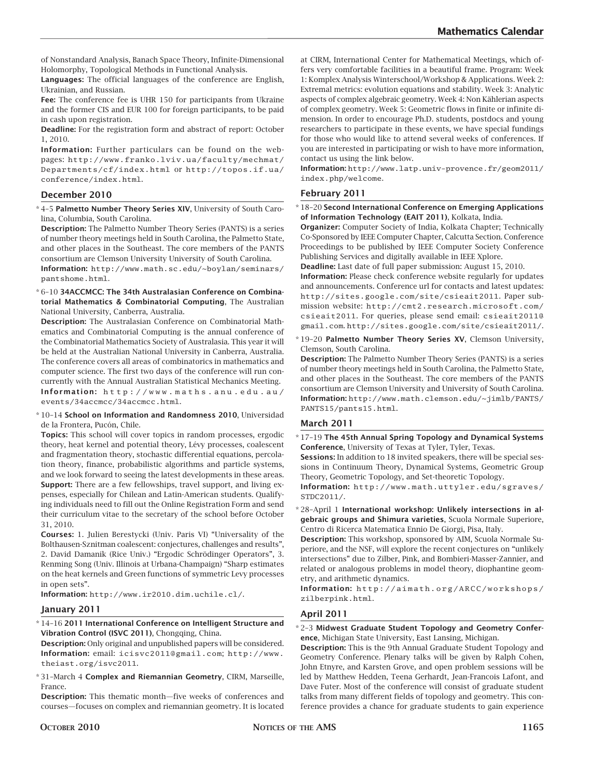of Nonstandard Analysis, Banach Space Theory, Infinite-Dimensional Holomorphy, Topological Methods in Functional Analysis.

**Languages:** The official languages of the conference are English, Ukrainian, and Russian.

**Fee:** The conference fee is UHR 150 for participants from Ukraine and the former CIS and EUR 100 for foreign participants, to be paid in cash upon registration.

**Deadline:** For the registration form and abstract of report: October 1, 2010.

**Information:** Further particulars can be found on the webpages: http://www.franko.lviv.ua/faculty/mechmat/ Departments/cf/index.html or http://topos.if.ua/ conference/index.html.

# **December 2010**

\* 4–5 **Palmetto Number Theory Series XIV**, University of South Carolina, Columbia, South Carolina.

**Description:** The Palmetto Number Theory Series (PANTS) is a series of number theory meetings held in South Carolina, the Palmetto State, and other places in the Southeast. The core members of the PANTS consortium are Clemson University University of South Carolina.

**Information:** http://www.math.sc.edu/~boylan/seminars/ pantshome.html.

\* 6–10 **34ACCMCC: The 34th Australasian Conference on Combinatorial Mathematics & Combinatorial Computing**, The Australian National University, Canberra, Australia.

**Description:** The Australasian Conference on Combinatorial Mathematics and Combinatorial Computing is the annual conference of the Combinatorial Mathematics Society of Australasia. This year it will be held at the Australian National University in Canberra, Australia. The conference covers all areas of combinatorics in mathematics and computer science. The first two days of the conference will run concurrently with the Annual Australian Statistical Mechanics Meeting. **Information:** http://www.maths.anu.edu.au/ events/34accmcc/34accmcc.html.

\* 10–14 **School on Information and Randomness 2010**, Universidad de la Frontera, Pucón, Chile.

**Topics:** This school will cover topics in random processes, ergodic theory, heat kernel and potential theory, Lévy processes, coalescent and fragmentation theory, stochastic differential equations, percolation theory, finance, probabilistic algorithms and particle systems, and we look forward to seeing the latest developments in these areas. **Support:** There are a few fellowships, travel support, and living expenses, especially for Chilean and Latin-American students. Qualifying individuals need to fill out the Online Registration Form and send their curriculum vitae to the secretary of the school before October 31, 2010.

**Courses:** 1. Julien Berestycki (Univ. Paris VI) "Universality of the Bolthausen-Sznitman coalescent: conjectures, challenges and results", 2. David Damanik (Rice Univ.) "Ergodic Schrödinger Operators", 3. Renming Song (Univ. Illinois at Urbana-Champaign) "Sharp estimates on the heat kernels and Green functions of symmetric Levy processes in open sets".

**Information:** http://www.ir2010.dim.uchile.cl/.

# **January 2011**

\* 14–16 **2011 International Conference on Intelligent Structure and Vibration Control (ISVC 2011)**, Chongqing, China.

**Description:** Only original and unpublished papers will be considered. **Information:** email: icisvc2011@gmail.com; http://www. theiast.org/isvc2011.

\* 31–March 4 **Complex and Riemannian Geometry**, CIRM, Marseille, France.

**Description:** This thematic month—five weeks of conferences and courses—focuses on complex and riemannian geometry. It is located at CIRM, International Center for Mathematical Meetings, which offers very comfortable facilities in a beautiful frame. Program: Week 1: Komplex Analysis Winterschool/Workshop & Applications. Week 2: Extremal metrics: evolution equations and stability. Week 3: Analytic aspects of complex algebraic geometry. Week 4: Non Kählerian aspects of complex geometry. Week 5: Geometric flows in finite or infinite dimension. In order to encourage Ph.D. students, postdocs and young researchers to participate in these events, we have special fundings for those who would like to attend several weeks of conferences. If you are interested in participating or wish to have more information, contact us using the link below.

**Information:** http://www.latp.univ-provence.fr/geom2011/ index.php/welcome.

### **February 2011**

\* 18–20 **Second International Conference on Emerging Applications of Information Technology (EAIT 2011)**, Kolkata, India.

**Organizer:** Computer Society of India, Kolkata Chapter; Technically Co-Sponsored by IEEE Computer Chapter, Calcutta Section. Conference Proceedings to be published by IEEE Computer Society Conference Publishing Services and digitally available in IEEE Xplore.

**Deadline:** Last date of full paper submission: August 15, 2010.

**Information:** Please check conference website regularly for updates and announcements. Conference url for contacts and latest updates: http://sites.google.com/site/csieait2011. Paper submission website: http://cmt2.research.microsoft.com/ csieait2011. For queries, please send email: csieait2011@ gmail.com. http://sites.google.com/site/csieait2011/.

\* 19–20 **Palmetto Number Theory Series XV**, Clemson University, Clemson, South Carolina.

**Description:** The Palmetto Number Theory Series (PANTS) is a series of number theory meetings held in South Carolina, the Palmetto State, and other places in the Southeast. The core members of the PANTS consortium are Clemson University and University of South Carolina. **Information:** http://www.math.clemson.edu/~jimlb/PANTS/ PANTS15/pants15.html.

# **March 2011**

\* 17–19 **The 45th Annual Spring Topology and Dynamical Systems Conference**, University of Texas at Tyler, Tyler, Texas.

**Sessions:** In addition to 18 invited speakers, there will be special sessions in Continuum Theory, Dynamical Systems, Geometric Group Theory, Geometric Topology, and Set-theoretic Topology.

**Information:** http://www.math.uttyler.edu/sgraves/ STDC2011/.

\* 28–April 1 **International workshop: Unlikely intersections in algebraic groups and Shimura varieties**, Scuola Normale Superiore, Centro di Ricerca Matematica Ennio De Giorgi, Pisa, Italy.

**Description:** This workshop, sponsored by AIM, Scuola Normale Superiore, and the NSF, will explore the recent conjectures on "unlikely intersections" due to Zilber, Pink, and Bombieri-Masser-Zannier, and related or analogous problems in model theory, diophantine geometry, and arithmetic dynamics.

**Information:** http://aimath.org/ARCC/workshops/ zilberpink.html.

# **April 2011**

\* 2–3 **Midwest Graduate Student Topology and Geometry Conference**, Michigan State University, East Lansing, Michigan.

**Description:** This is the 9th Annual Graduate Student Topology and Geometry Conference. Plenary talks will be given by Ralph Cohen, John Etnyre, and Karsten Grove, and open problem sessions will be led by Matthew Hedden, Teena Gerhardt, Jean-Francois Lafont, and Dave Futer. Most of the conference will consist of graduate student talks from many different fields of topology and geometry. This conference provides a chance for graduate students to gain experience